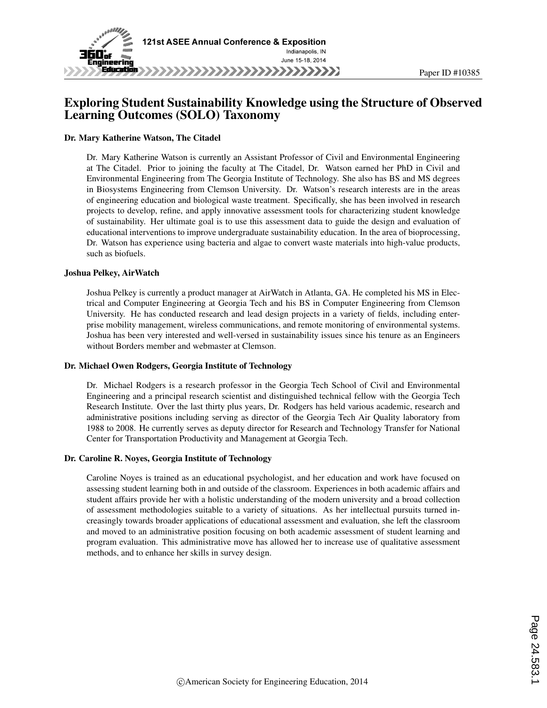

### Exploring Student Sustainability Knowledge using the Structure of Observed Learning Outcomes (SOLO) Taxonomy

#### Dr. Mary Katherine Watson, The Citadel

Dr. Mary Katherine Watson is currently an Assistant Professor of Civil and Environmental Engineering at The Citadel. Prior to joining the faculty at The Citadel, Dr. Watson earned her PhD in Civil and Environmental Engineering from The Georgia Institute of Technology. She also has BS and MS degrees in Biosystems Engineering from Clemson University. Dr. Watson's research interests are in the areas of engineering education and biological waste treatment. Specifically, she has been involved in research projects to develop, refine, and apply innovative assessment tools for characterizing student knowledge of sustainability. Her ultimate goal is to use this assessment data to guide the design and evaluation of educational interventions to improve undergraduate sustainability education. In the area of bioprocessing, Dr. Watson has experience using bacteria and algae to convert waste materials into high-value products, such as biofuels.

#### Joshua Pelkey, AirWatch

Joshua Pelkey is currently a product manager at AirWatch in Atlanta, GA. He completed his MS in Electrical and Computer Engineering at Georgia Tech and his BS in Computer Engineering from Clemson University. He has conducted research and lead design projects in a variety of fields, including enterprise mobility management, wireless communications, and remote monitoring of environmental systems. Joshua has been very interested and well-versed in sustainability issues since his tenure as an Engineers without Borders member and webmaster at Clemson.

#### Dr. Michael Owen Rodgers, Georgia Institute of Technology

Dr. Michael Rodgers is a research professor in the Georgia Tech School of Civil and Environmental Engineering and a principal research scientist and distinguished technical fellow with the Georgia Tech Research Institute. Over the last thirty plus years, Dr. Rodgers has held various academic, research and administrative positions including serving as director of the Georgia Tech Air Quality laboratory from 1988 to 2008. He currently serves as deputy director for Research and Technology Transfer for National Center for Transportation Productivity and Management at Georgia Tech.

#### Dr. Caroline R. Noyes, Georgia Institute of Technology

Caroline Noyes is trained as an educational psychologist, and her education and work have focused on assessing student learning both in and outside of the classroom. Experiences in both academic affairs and student affairs provide her with a holistic understanding of the modern university and a broad collection of assessment methodologies suitable to a variety of situations. As her intellectual pursuits turned increasingly towards broader applications of educational assessment and evaluation, she left the classroom and moved to an administrative position focusing on both academic assessment of student learning and program evaluation. This administrative move has allowed her to increase use of qualitative assessment methods, and to enhance her skills in survey design.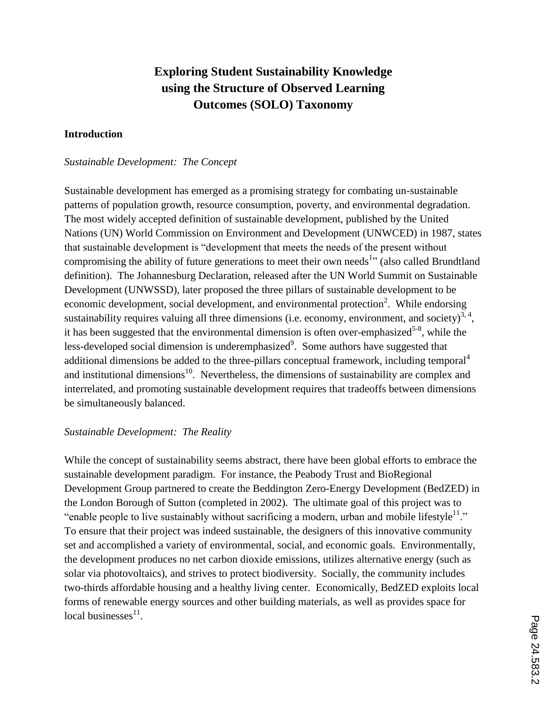# **Exploring Student Sustainability Knowledge using the Structure of Observed Learning Outcomes (SOLO) Taxonomy**

#### **Introduction**

#### *Sustainable Development: The Concept*

Sustainable development has emerged as a promising strategy for combating un-sustainable patterns of population growth, resource consumption, poverty, and environmental degradation. The most widely accepted definition of sustainable development, published by the United Nations (UN) World Commission on Environment and Development (UNWCED) in 1987, states that sustainable development is "development that meets the needs of the present without compromising the ability of future generations to meet their own needs<sup>1</sup><sup>1</sup> (also called Brundtland definition). The Johannesburg Declaration, released after the UN World Summit on Sustainable Development (UNWSSD), later proposed the three pillars of sustainable development to be economic development, social development, and environmental protection<sup>2</sup>. While endorsing sustainability requires valuing all three dimensions (i.e. economy, environment, and society)<sup>3, 4</sup>, it has been suggested that the environmental dimension is often over-emphasized<sup>5-8</sup>, while the less-developed social dimension is underemphasized $\degree$ . Some authors have suggested that additional dimensions be added to the three-pillars conceptual framework, including temporal<sup>4</sup> and institutional dimensions<sup>10</sup>. Nevertheless, the dimensions of sustainability are complex and interrelated, and promoting sustainable development requires that tradeoffs between dimensions be simultaneously balanced.

### *Sustainable Development: The Reality*

While the concept of sustainability seems abstract, there have been global efforts to embrace the sustainable development paradigm. For instance, the Peabody Trust and BioRegional Development Group partnered to create the Beddington Zero-Energy Development (BedZED) in the London Borough of Sutton (completed in 2002). The ultimate goal of this project was to "enable people to live sustainably without sacrificing a modern, urban and mobile lifestyle $1$ ." To ensure that their project was indeed sustainable, the designers of this innovative community set and accomplished a variety of environmental, social, and economic goals. Environmentally, the development produces no net carbon dioxide emissions, utilizes alternative energy (such as solar via photovoltaics), and strives to protect biodiversity. Socially, the community includes two-thirds affordable housing and a healthy living center. Economically, BedZED exploits local forms of renewable energy sources and other building materials, as well as provides space for local businesses $^{11}$ .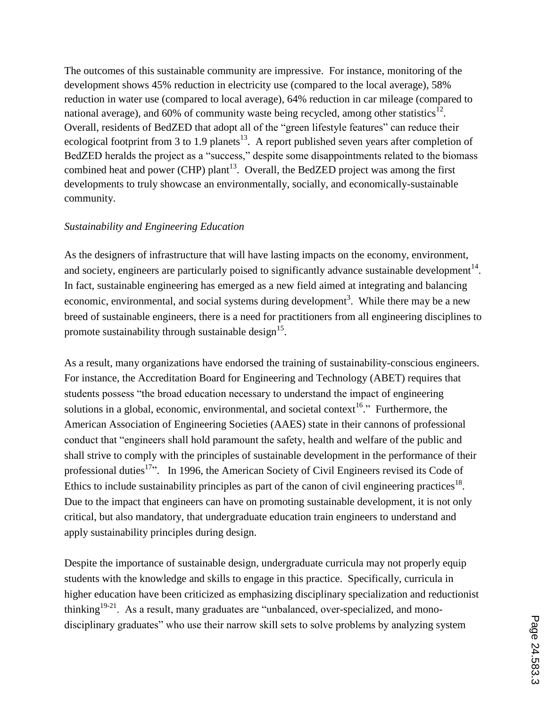The outcomes of this sustainable community are impressive. For instance, monitoring of the development shows 45% reduction in electricity use (compared to the local average), 58% reduction in water use (compared to local average), 64% reduction in car mileage (compared to national average), and 60% of community waste being recycled, among other statistics<sup>12</sup>. Overall, residents of BedZED that adopt all of the "green lifestyle features" can reduce their ecological footprint from 3 to 1.9 planets<sup>13</sup>. A report published seven years after completion of BedZED heralds the project as a "success," despite some disappointments related to the biomass combined heat and power (CHP) plant<sup>13</sup>. Overall, the BedZED project was among the first developments to truly showcase an environmentally, socially, and economically-sustainable community.

### *Sustainability and Engineering Education*

As the designers of infrastructure that will have lasting impacts on the economy, environment, and society, engineers are particularly poised to significantly advance sustainable development<sup>14</sup>. In fact, sustainable engineering has emerged as a new field aimed at integrating and balancing economic, environmental, and social systems during development<sup>3</sup>. While there may be a new breed of sustainable engineers, there is a need for practitioners from all engineering disciplines to promote sustainability through sustainable design<sup>15</sup>.

As a result, many organizations have endorsed the training of sustainability-conscious engineers. For instance, the Accreditation Board for Engineering and Technology (ABET) requires that students possess "the broad education necessary to understand the impact of engineering solutions in a global, economic, environmental, and societal context<sup>16</sup>." Furthermore, the American Association of Engineering Societies (AAES) state in their cannons of professional conduct that "engineers shall hold paramount the safety, health and welfare of the public and shall strive to comply with the principles of sustainable development in the performance of their professional duties<sup>17</sup>... In 1996, the American Society of Civil Engineers revised its Code of Ethics to include sustainability principles as part of the canon of civil engineering practices<sup>18</sup>. Due to the impact that engineers can have on promoting sustainable development, it is not only critical, but also mandatory, that undergraduate education train engineers to understand and apply sustainability principles during design.

Despite the importance of sustainable design, undergraduate curricula may not properly equip students with the knowledge and skills to engage in this practice. Specifically, curricula in higher education have been criticized as emphasizing disciplinary specialization and reductionist thinking<sup>19-21</sup>. As a result, many graduates are "unbalanced, over-specialized, and monodisciplinary graduates" who use their narrow skill sets to solve problems by analyzing system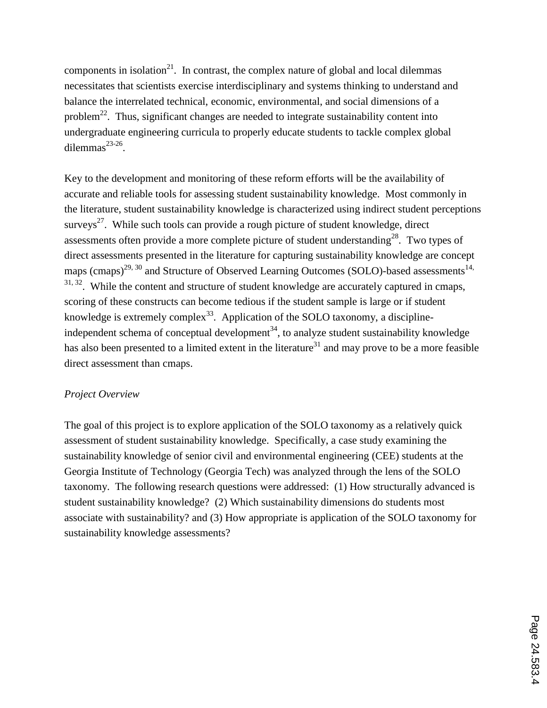components in isolation $21$ . In contrast, the complex nature of global and local dilemmas necessitates that scientists exercise interdisciplinary and systems thinking to understand and balance the interrelated technical, economic, environmental, and social dimensions of a problem<sup>22</sup>. Thus, significant changes are needed to integrate sustainability content into undergraduate engineering curricula to properly educate students to tackle complex global dilemmas $^{23-26}$ .

Key to the development and monitoring of these reform efforts will be the availability of accurate and reliable tools for assessing student sustainability knowledge. Most commonly in the literature, student sustainability knowledge is characterized using indirect student perceptions surveys<sup>27</sup>. While such tools can provide a rough picture of student knowledge, direct assessments often provide a more complete picture of student understanding<sup>28</sup>. Two types of direct assessments presented in the literature for capturing sustainability knowledge are concept maps (cmaps)<sup>29, 30</sup> and Structure of Observed Learning Outcomes (SOLO)-based assessments<sup>14,</sup>  $31, 32$ . While the content and structure of student knowledge are accurately captured in cmaps, scoring of these constructs can become tedious if the student sample is large or if student knowledge is extremely complex<sup>33</sup>. Application of the SOLO taxonomy, a disciplineindependent schema of conceptual development<sup>34</sup>, to analyze student sustainability knowledge has also been presented to a limited extent in the literature<sup>31</sup> and may prove to be a more feasible direct assessment than cmaps.

### *Project Overview*

The goal of this project is to explore application of the SOLO taxonomy as a relatively quick assessment of student sustainability knowledge. Specifically, a case study examining the sustainability knowledge of senior civil and environmental engineering (CEE) students at the Georgia Institute of Technology (Georgia Tech) was analyzed through the lens of the SOLO taxonomy. The following research questions were addressed: (1) How structurally advanced is student sustainability knowledge? (2) Which sustainability dimensions do students most associate with sustainability? and (3) How appropriate is application of the SOLO taxonomy for sustainability knowledge assessments?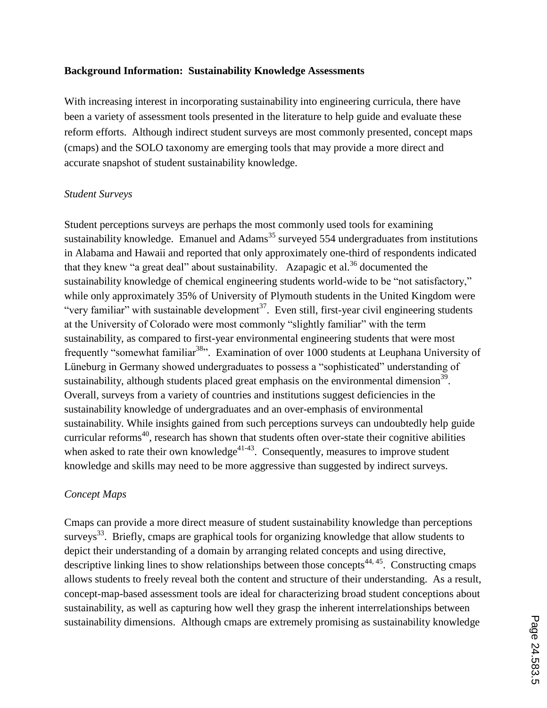#### **Background Information: Sustainability Knowledge Assessments**

With increasing interest in incorporating sustainability into engineering curricula, there have been a variety of assessment tools presented in the literature to help guide and evaluate these reform efforts. Although indirect student surveys are most commonly presented, concept maps (cmaps) and the SOLO taxonomy are emerging tools that may provide a more direct and accurate snapshot of student sustainability knowledge.

#### *Student Surveys*

Student perceptions surveys are perhaps the most commonly used tools for examining sustainability knowledge. Emanuel and Adams<sup>35</sup> surveyed 554 undergraduates from institutions in Alabama and Hawaii and reported that only approximately one-third of respondents indicated that they knew "a great deal" about sustainability. Azapagic et al.<sup>36</sup> documented the sustainability knowledge of chemical engineering students world-wide to be "not satisfactory," while only approximately 35% of University of Plymouth students in the United Kingdom were "very familiar" with sustainable development<sup>37</sup>. Even still, first-year civil engineering students at the University of Colorado were most commonly "slightly familiar" with the term sustainability, as compared to first-year environmental engineering students that were most frequently "somewhat familiar<sup>38</sup>". Examination of over 1000 students at Leuphana University of Lüneburg in Germany showed undergraduates to possess a "sophisticated" understanding of sustainability, although students placed great emphasis on the environmental dimension<sup>39</sup>. Overall, surveys from a variety of countries and institutions suggest deficiencies in the sustainability knowledge of undergraduates and an over-emphasis of environmental sustainability. While insights gained from such perceptions surveys can undoubtedly help guide curricular reforms<sup>40</sup>, research has shown that students often over-state their cognitive abilities when asked to rate their own knowledge<sup>41-43</sup>. Consequently, measures to improve student knowledge and skills may need to be more aggressive than suggested by indirect surveys.

### *Concept Maps*

Cmaps can provide a more direct measure of student sustainability knowledge than perceptions surveys<sup>33</sup>. Briefly, cmaps are graphical tools for organizing knowledge that allow students to depict their understanding of a domain by arranging related concepts and using directive, descriptive linking lines to show relationships between those concepts<sup>44, 45</sup>. Constructing cmaps allows students to freely reveal both the content and structure of their understanding. As a result, concept-map-based assessment tools are ideal for characterizing broad student conceptions about sustainability, as well as capturing how well they grasp the inherent interrelationships between sustainability dimensions. Although cmaps are extremely promising as sustainability knowledge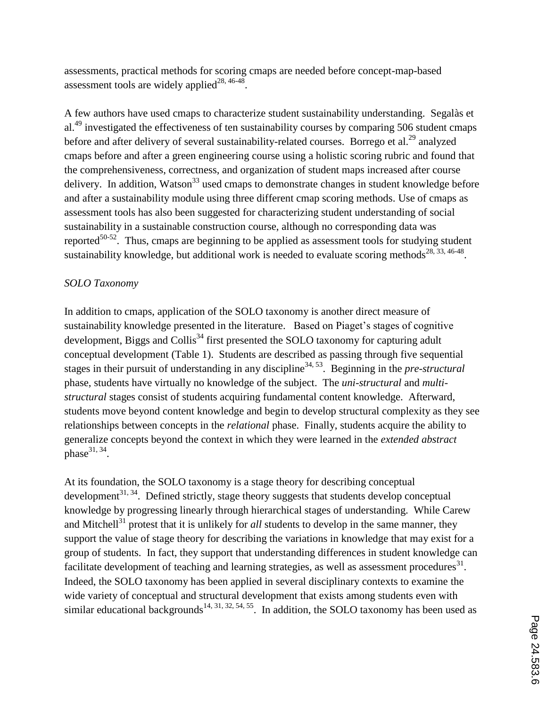assessments, practical methods for scoring cmaps are needed before concept-map-based assessment tools are widely applied<sup>28, 46-48</sup>.

A few authors have used cmaps to characterize student sustainability understanding. Segalàs et al.<sup>49</sup> investigated the effectiveness of ten sustainability courses by comparing 506 student cmaps before and after delivery of several sustainability-related courses. Borrego et al.<sup>29</sup> analyzed cmaps before and after a green engineering course using a holistic scoring rubric and found that the comprehensiveness, correctness, and organization of student maps increased after course delivery. In addition, Watson<sup>33</sup> used cmaps to demonstrate changes in student knowledge before and after a sustainability module using three different cmap scoring methods. Use of cmaps as assessment tools has also been suggested for characterizing student understanding of social sustainability in a sustainable construction course, although no corresponding data was reported $50-52$ . Thus, cmaps are beginning to be applied as assessment tools for studying student sustainability knowledge, but additional work is needed to evaluate scoring methods<sup>28, 33, 46-48</sup>.

### *SOLO Taxonomy*

In addition to cmaps, application of the SOLO taxonomy is another direct measure of sustainability knowledge presented in the literature. Based on Piaget's stages of cognitive development, Biggs and Collis<sup>34</sup> first presented the SOLO taxonomy for capturing adult conceptual development (Table 1). Students are described as passing through five sequential stages in their pursuit of understanding in any discipline<sup>34, 53</sup>. Beginning in the *pre-structural* phase, students have virtually no knowledge of the subject. The *uni-structural* and *multistructural* stages consist of students acquiring fundamental content knowledge. Afterward, students move beyond content knowledge and begin to develop structural complexity as they see relationships between concepts in the *relational* phase. Finally, students acquire the ability to generalize concepts beyond the context in which they were learned in the *extended abstract* phase $31, 34$ .

At its foundation, the SOLO taxonomy is a stage theory for describing conceptual development<sup>31, 34</sup>. Defined strictly, stage theory suggests that students develop conceptual knowledge by progressing linearly through hierarchical stages of understanding. While Carew and Mitchell<sup>31</sup> protest that it is unlikely for *all* students to develop in the same manner, they support the value of stage theory for describing the variations in knowledge that may exist for a group of students. In fact, they support that understanding differences in student knowledge can facilitate development of teaching and learning strategies, as well as assessment procedures $^{31}$ . Indeed, the SOLO taxonomy has been applied in several disciplinary contexts to examine the wide variety of conceptual and structural development that exists among students even with similar educational backgrounds<sup>14, 31, 32, 54, 55</sup>. In addition, the SOLO taxonomy has been used as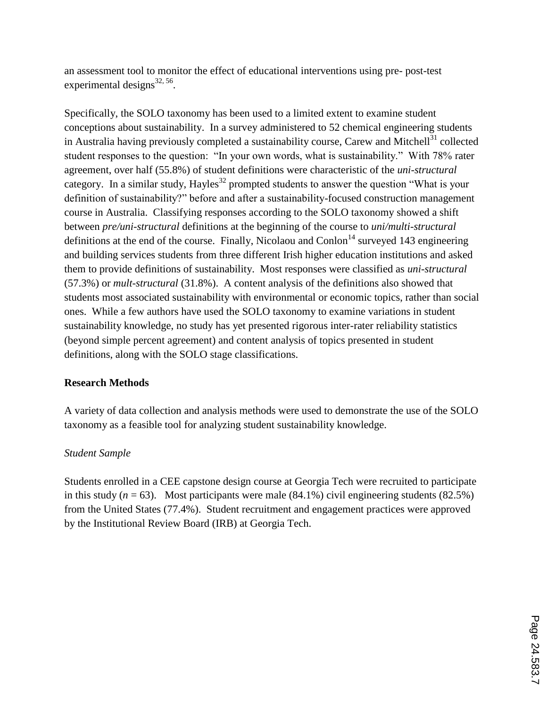an assessment tool to monitor the effect of educational interventions using pre- post-test experimental designs $^{32, 56}$ .

Specifically, the SOLO taxonomy has been used to a limited extent to examine student conceptions about sustainability. In a survey administered to 52 chemical engineering students in Australia having previously completed a sustainability course, Carew and Mitchell<sup>31</sup> collected student responses to the question: "In your own words, what is sustainability." With 78% rater agreement, over half (55.8%) of student definitions were characteristic of the *uni-structural* category. In a similar study, Hayles<sup>32</sup> prompted students to answer the question "What is your definition of sustainability?" before and after a sustainability-focused construction management course in Australia. Classifying responses according to the SOLO taxonomy showed a shift between *pre/uni-structural* definitions at the beginning of the course to *uni/multi-structural* definitions at the end of the course. Finally, Nicolaou and Conlon<sup>14</sup> surveyed 143 engineering and building services students from three different Irish higher education institutions and asked them to provide definitions of sustainability. Most responses were classified as *uni-structural*  (57.3%) or *mult-structural* (31.8%). A content analysis of the definitions also showed that students most associated sustainability with environmental or economic topics, rather than social ones. While a few authors have used the SOLO taxonomy to examine variations in student sustainability knowledge, no study has yet presented rigorous inter-rater reliability statistics (beyond simple percent agreement) and content analysis of topics presented in student definitions, along with the SOLO stage classifications.

### **Research Methods**

A variety of data collection and analysis methods were used to demonstrate the use of the SOLO taxonomy as a feasible tool for analyzing student sustainability knowledge.

### *Student Sample*

Students enrolled in a CEE capstone design course at Georgia Tech were recruited to participate in this study  $(n = 63)$ . Most participants were male  $(84.1\%)$  civil engineering students  $(82.5\%)$ from the United States (77.4%). Student recruitment and engagement practices were approved by the Institutional Review Board (IRB) at Georgia Tech.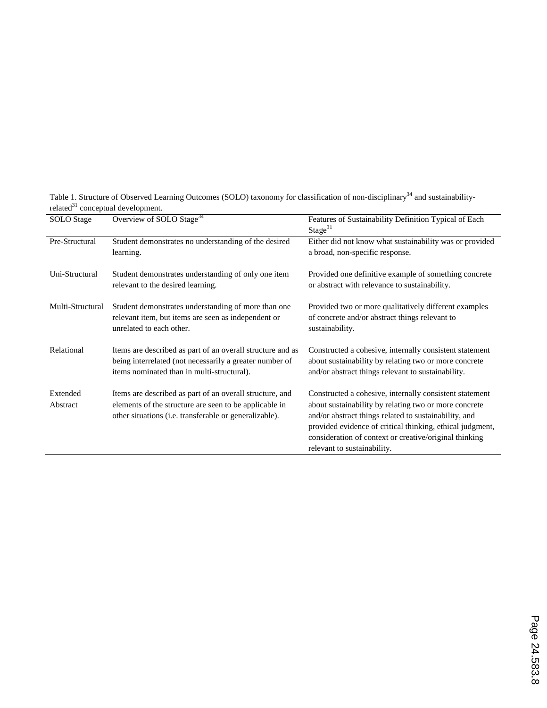| <b>SOLO</b> Stage    | Overview of SOLO Stage <sup>34</sup>                                                                                                                                         | Features of Sustainability Definition Typical of Each<br>Stage $31$                                                                                                                                                                                                                                                             |
|----------------------|------------------------------------------------------------------------------------------------------------------------------------------------------------------------------|---------------------------------------------------------------------------------------------------------------------------------------------------------------------------------------------------------------------------------------------------------------------------------------------------------------------------------|
| Pre-Structural       | Student demonstrates no understanding of the desired<br>learning.                                                                                                            | Either did not know what sustainability was or provided<br>a broad, non-specific response.                                                                                                                                                                                                                                      |
| Uni-Structural       | Student demonstrates understanding of only one item<br>relevant to the desired learning.                                                                                     | Provided one definitive example of something concrete<br>or abstract with relevance to sustainability.                                                                                                                                                                                                                          |
| Multi-Structural     | Student demonstrates understanding of more than one<br>relevant item, but items are seen as independent or<br>unrelated to each other.                                       | Provided two or more qualitatively different examples<br>of concrete and/or abstract things relevant to<br>sustainability.                                                                                                                                                                                                      |
| Relational           | Items are described as part of an overall structure and as<br>being interrelated (not necessarily a greater number of<br>items nominated than in multi-structural).          | Constructed a cohesive, internally consistent statement<br>about sustainability by relating two or more concrete<br>and/or abstract things relevant to sustainability.                                                                                                                                                          |
| Extended<br>Abstract | Items are described as part of an overall structure, and<br>elements of the structure are seen to be applicable in<br>other situations (i.e. transferable or generalizable). | Constructed a cohesive, internally consistent statement<br>about sustainability by relating two or more concrete<br>and/or abstract things related to sustainability, and<br>provided evidence of critical thinking, ethical judgment,<br>consideration of context or creative/original thinking<br>relevant to sustainability. |

Table 1. Structure of Observed Learning Outcomes (SOLO) taxonomy for classification of non-disciplinary<sup>34</sup> and sustainabilityrelated $31$  conceptual development.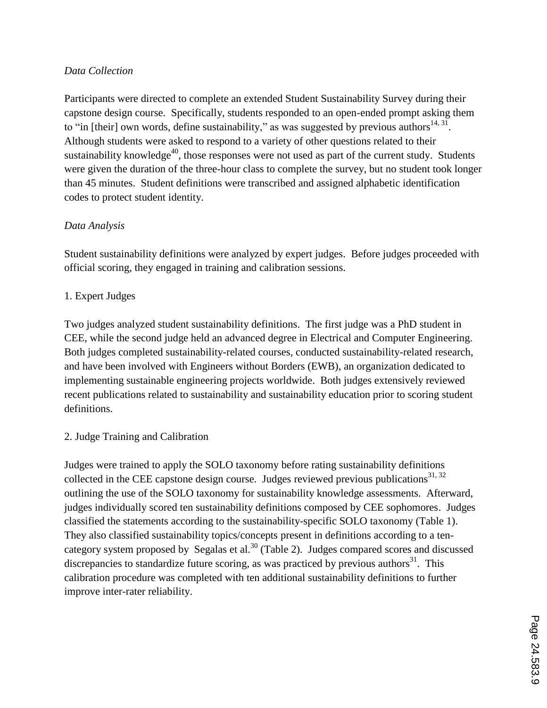### *Data Collection*

Participants were directed to complete an extended Student Sustainability Survey during their capstone design course. Specifically, students responded to an open-ended prompt asking them to "in [their] own words, define sustainability," as was suggested by previous authors  $^{14, 31}$ . Although students were asked to respond to a variety of other questions related to their sustainability knowledge $40$ , those responses were not used as part of the current study. Students were given the duration of the three-hour class to complete the survey, but no student took longer than 45 minutes. Student definitions were transcribed and assigned alphabetic identification codes to protect student identity.

### *Data Analysis*

Student sustainability definitions were analyzed by expert judges. Before judges proceeded with official scoring, they engaged in training and calibration sessions.

### 1. Expert Judges

Two judges analyzed student sustainability definitions. The first judge was a PhD student in CEE, while the second judge held an advanced degree in Electrical and Computer Engineering. Both judges completed sustainability-related courses, conducted sustainability-related research, and have been involved with Engineers without Borders (EWB), an organization dedicated to implementing sustainable engineering projects worldwide. Both judges extensively reviewed recent publications related to sustainability and sustainability education prior to scoring student definitions.

### 2. Judge Training and Calibration

Judges were trained to apply the SOLO taxonomy before rating sustainability definitions collected in the CEE capstone design course. Judges reviewed previous publications $31, 32$ outlining the use of the SOLO taxonomy for sustainability knowledge assessments. Afterward, judges individually scored ten sustainability definitions composed by CEE sophomores. Judges classified the statements according to the sustainability-specific SOLO taxonomy (Table 1). They also classified sustainability topics/concepts present in definitions according to a tencategory system proposed by Segalas et al.<sup>30</sup> (Table 2). Judges compared scores and discussed discrepancies to standardize future scoring, as was practiced by previous authors $31$ . This calibration procedure was completed with ten additional sustainability definitions to further improve inter-rater reliability.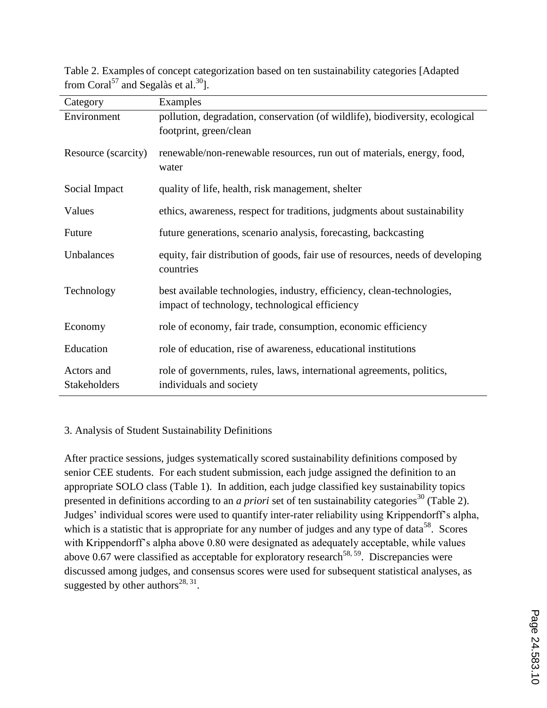| Category            | Examples                                                                       |  |
|---------------------|--------------------------------------------------------------------------------|--|
| Environment         | pollution, degradation, conservation (of wildlife), biodiversity, ecological   |  |
|                     | footprint, green/clean                                                         |  |
| Resource (scarcity) | renewable/non-renewable resources, run out of materials, energy, food,         |  |
|                     | water                                                                          |  |
|                     |                                                                                |  |
| Social Impact       | quality of life, health, risk management, shelter                              |  |
| Values              | ethics, awareness, respect for traditions, judgments about sustainability      |  |
| Future              | future generations, scenario analysis, forecasting, backcasting                |  |
| Unbalances          | equity, fair distribution of goods, fair use of resources, needs of developing |  |
|                     | countries                                                                      |  |
| Technology          | best available technologies, industry, efficiency, clean-technologies,         |  |
|                     | impact of technology, technological efficiency                                 |  |
| Economy             | role of economy, fair trade, consumption, economic efficiency                  |  |
| Education           | role of education, rise of awareness, educational institutions                 |  |
|                     |                                                                                |  |
| Actors and          | role of governments, rules, laws, international agreements, politics,          |  |
| Stakeholders        | individuals and society                                                        |  |

Table 2. Examples of concept categorization based on ten sustainability categories [Adapted from Coral<sup>57</sup> and Segalàs et al.<sup>30</sup>].

### 3. Analysis of Student Sustainability Definitions

After practice sessions, judges systematically scored sustainability definitions composed by senior CEE students. For each student submission, each judge assigned the definition to an appropriate SOLO class (Table 1). In addition, each judge classified key sustainability topics presented in definitions according to an *a priori* set of ten sustainability categories<sup>30</sup> (Table 2). Judges' individual scores were used to quantify inter-rater reliability using Krippendorff's alpha, which is a statistic that is appropriate for any number of judges and any type of data<sup>58</sup>. Scores with Krippendorff's alpha above 0.80 were designated as adequately acceptable, while values above 0.67 were classified as acceptable for exploratory research<sup>58, 59</sup>. Discrepancies were discussed among judges, and consensus scores were used for subsequent statistical analyses, as suggested by other authors<sup>28, 31</sup>.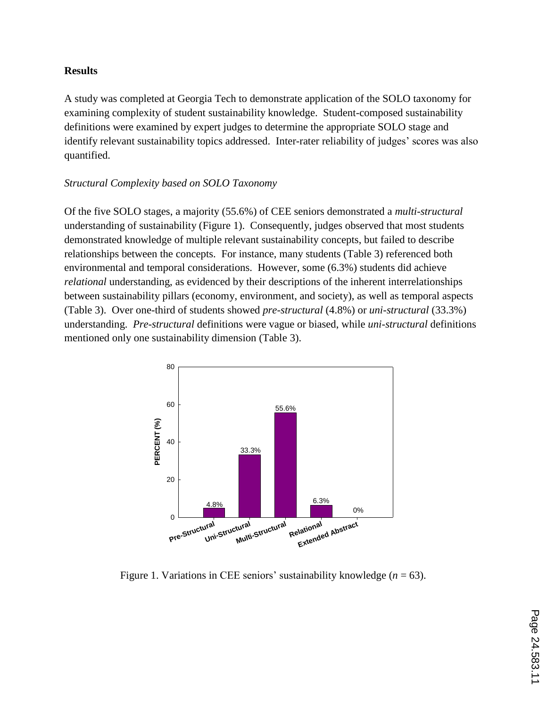#### **Results**

A study was completed at Georgia Tech to demonstrate application of the SOLO taxonomy for examining complexity of student sustainability knowledge. Student-composed sustainability definitions were examined by expert judges to determine the appropriate SOLO stage and identify relevant sustainability topics addressed. Inter-rater reliability of judges' scores was also quantified.

#### *Structural Complexity based on SOLO Taxonomy*

Of the five SOLO stages, a majority (55.6%) of CEE seniors demonstrated a *multi-structural* understanding of sustainability (Figure 1). Consequently, judges observed that most students demonstrated knowledge of multiple relevant sustainability concepts, but failed to describe relationships between the concepts. For instance, many students (Table 3) referenced both environmental and temporal considerations. However, some (6.3%) students did achieve *relational* understanding, as evidenced by their descriptions of the inherent interrelationships between sustainability pillars (economy, environment, and society), as well as temporal aspects (Table 3). Over one-third of students showed *pre-structural* (4.8%) or *uni-structural* (33.3%) understanding. *Pre-structural* definitions were vague or biased, while *uni-structural* definitions mentioned only one sustainability dimension (Table 3).



Figure 1. Variations in CEE seniors' sustainability knowledge  $(n = 63)$ .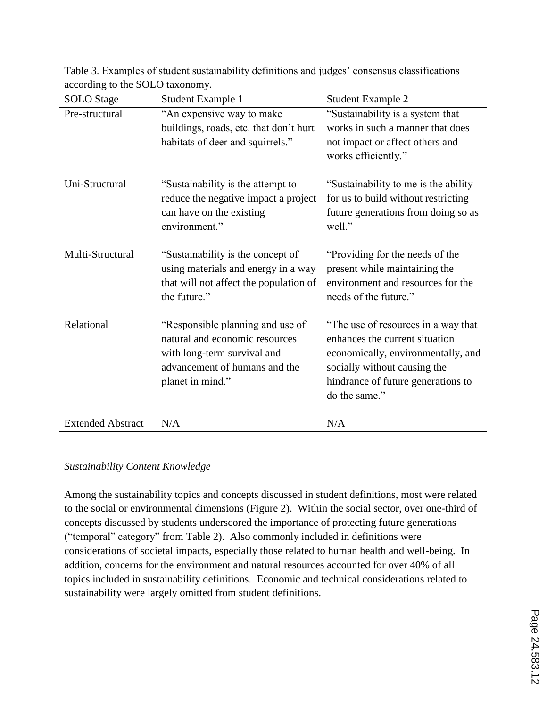| <b>SOLO</b> Stage        | Student Example 1                                                                                                                                      | <b>Student Example 2</b>                                                                                                                                                                           |
|--------------------------|--------------------------------------------------------------------------------------------------------------------------------------------------------|----------------------------------------------------------------------------------------------------------------------------------------------------------------------------------------------------|
| Pre-structural           | "An expensive way to make<br>buildings, roads, etc. that don't hurt<br>habitats of deer and squirrels."                                                | "Sustainability is a system that<br>works in such a manner that does<br>not impact or affect others and<br>works efficiently."                                                                     |
| Uni-Structural           | "Sustainability is the attempt to<br>reduce the negative impact a project<br>can have on the existing<br>environment."                                 | "Sustainability to me is the ability<br>for us to build without restricting<br>future generations from doing so as<br>well."                                                                       |
| Multi-Structural         | "Sustainability is the concept of<br>using materials and energy in a way<br>that will not affect the population of<br>the future."                     | "Providing for the needs of the<br>present while maintaining the<br>environment and resources for the<br>needs of the future."                                                                     |
| Relational               | "Responsible planning and use of<br>natural and economic resources<br>with long-term survival and<br>advancement of humans and the<br>planet in mind." | "The use of resources in a way that<br>enhances the current situation<br>economically, environmentally, and<br>socially without causing the<br>hindrance of future generations to<br>do the same." |
| <b>Extended Abstract</b> | N/A                                                                                                                                                    | N/A                                                                                                                                                                                                |

Table 3. Examples of student sustainability definitions and judges' consensus classifications according to the SOLO taxonomy.

#### *Sustainability Content Knowledge*

Among the sustainability topics and concepts discussed in student definitions, most were related to the social or environmental dimensions (Figure 2). Within the social sector, over one-third of concepts discussed by students underscored the importance of protecting future generations ("temporal" category" from Table 2). Also commonly included in definitions were considerations of societal impacts, especially those related to human health and well-being. In addition, concerns for the environment and natural resources accounted for over 40% of all topics included in sustainability definitions. Economic and technical considerations related to sustainability were largely omitted from student definitions.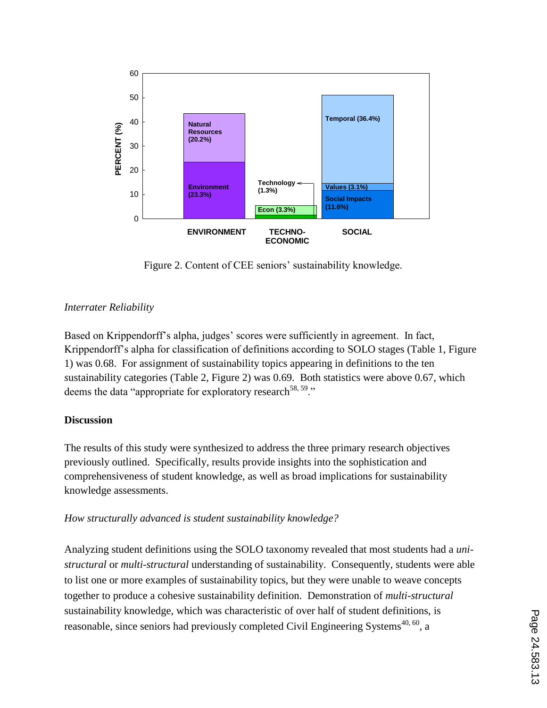

Figure 2. Content of CEE seniors' sustainability knowledge.

## *Interrater Reliability*

Based on Krippendorff's alpha, judges' scores were sufficiently in agreement. In fact, Krippendorff's alpha for classification of definitions according to SOLO stages (Table 1, Figure 1) was 0.68. For assignment of sustainability topics appearing in definitions to the ten *s*ustainability categories (Table 2, Figure 2) was 0.69. Both statistics were above 0.67, which deems the data "appropriate for exploratory research<sup>58, 59</sup>."

### **Discussion**

The results of this study were synthesized to address the three primary research objectives previously outlined. Specifically, results provide insights into the sophistication and comprehensiveness of student knowledge, as well as broad implications for sustainability knowledge assessments.

### *How structurally advanced is student sustainability knowledge?*

Analyzing student definitions using the SOLO taxonomy revealed that most students had a *unistructural* or *multi-structural* understanding of sustainability. Consequently, students were able to list one or more examples of sustainability topics, but they were unable to weave concepts together to produce a cohesive sustainability definition. Demonstration of *multi-structural* sustainability knowledge, which was characteristic of over half of student definitions, is reasonable, since seniors had previously completed Civil Engineering Systems<sup> $40, 60$ </sup>, a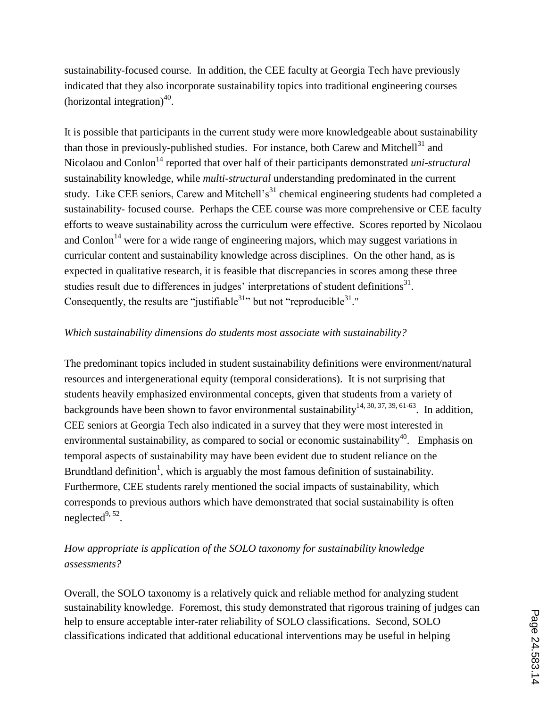sustainability-focused course. In addition, the CEE faculty at Georgia Tech have previously indicated that they also incorporate sustainability topics into traditional engineering courses (horizontal integration) $40$ .

It is possible that participants in the current study were more knowledgeable about sustainability than those in previously-published studies. For instance, both Carew and Mitchell $^{31}$  and Nicolaou and Conlon<sup>14</sup> reported that over half of their participants demonstrated *uni-structural* sustainability knowledge, while *multi-structural* understanding predominated in the current study. Like CEE seniors, Carew and Mitchell's<sup>31</sup> chemical engineering students had completed a sustainability- focused course. Perhaps the CEE course was more comprehensive or CEE faculty efforts to weave sustainability across the curriculum were effective. Scores reported by Nicolaou and Conlon<sup>14</sup> were for a wide range of engineering majors, which may suggest variations in curricular content and sustainability knowledge across disciplines. On the other hand, as is expected in qualitative research, it is feasible that discrepancies in scores among these three studies result due to differences in judges' interpretations of student definitions $^{31}$ . Consequently, the results are "justifiable $31$ " but not "reproducible $31$ ."

### *Which sustainability dimensions do students most associate with sustainability?*

The predominant topics included in student sustainability definitions were environment/natural resources and intergenerational equity (temporal considerations). It is not surprising that students heavily emphasized environmental concepts, given that students from a variety of backgrounds have been shown to favor environmental sustainability<sup>14, 30, 37, 39, 61-63</sup>. In addition, CEE seniors at Georgia Tech also indicated in a survey that they were most interested in environmental sustainability, as compared to social or economic sustainability<sup>40</sup>. Emphasis on temporal aspects of sustainability may have been evident due to student reliance on the Brundtland definition<sup>1</sup>, which is arguably the most famous definition of sustainability. Furthermore, CEE students rarely mentioned the social impacts of sustainability, which corresponds to previous authors which have demonstrated that social sustainability is often neglected $9, 52$ .

# *How appropriate is application of the SOLO taxonomy for sustainability knowledge assessments?*

Overall, the SOLO taxonomy is a relatively quick and reliable method for analyzing student sustainability knowledge. Foremost, this study demonstrated that rigorous training of judges can help to ensure acceptable inter-rater reliability of SOLO classifications. Second, SOLO classifications indicated that additional educational interventions may be useful in helping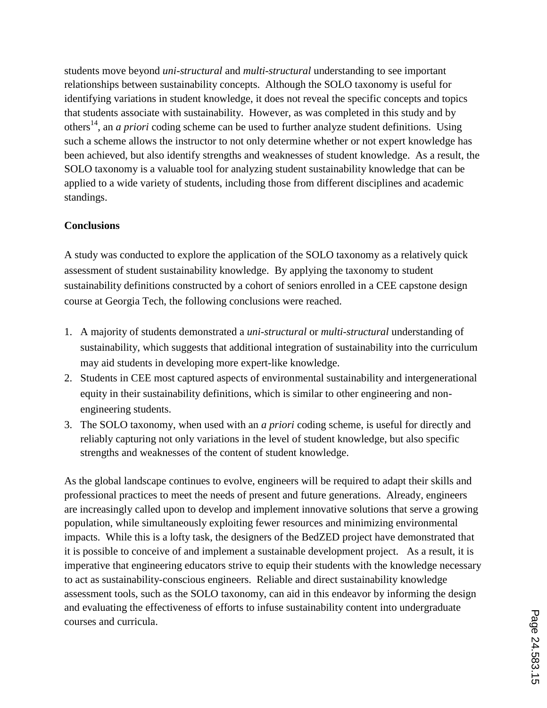students move beyond *uni-structural* and *multi-structural* understanding to see important relationships between sustainability concepts. Although the SOLO taxonomy is useful for identifying variations in student knowledge, it does not reveal the specific concepts and topics that students associate with sustainability. However, as was completed in this study and by others<sup>14</sup>, an *a priori* coding scheme can be used to further analyze student definitions. Using such a scheme allows the instructor to not only determine whether or not expert knowledge has been achieved, but also identify strengths and weaknesses of student knowledge. As a result, the SOLO taxonomy is a valuable tool for analyzing student sustainability knowledge that can be applied to a wide variety of students, including those from different disciplines and academic standings.

#### **Conclusions**

A study was conducted to explore the application of the SOLO taxonomy as a relatively quick assessment of student sustainability knowledge. By applying the taxonomy to student sustainability definitions constructed by a cohort of seniors enrolled in a CEE capstone design course at Georgia Tech, the following conclusions were reached.

- 1. A majority of students demonstrated a *uni-structural* or *multi-structural* understanding of sustainability, which suggests that additional integration of sustainability into the curriculum may aid students in developing more expert-like knowledge.
- 2. Students in CEE most captured aspects of environmental sustainability and intergenerational equity in their sustainability definitions, which is similar to other engineering and nonengineering students.
- 3. The SOLO taxonomy, when used with an *a priori* coding scheme, is useful for directly and reliably capturing not only variations in the level of student knowledge, but also specific strengths and weaknesses of the content of student knowledge.

As the global landscape continues to evolve, engineers will be required to adapt their skills and professional practices to meet the needs of present and future generations. Already, engineers are increasingly called upon to develop and implement innovative solutions that serve a growing population, while simultaneously exploiting fewer resources and minimizing environmental impacts. While this is a lofty task, the designers of the BedZED project have demonstrated that it is possible to conceive of and implement a sustainable development project. As a result, it is imperative that engineering educators strive to equip their students with the knowledge necessary to act as sustainability-conscious engineers. Reliable and direct sustainability knowledge assessment tools, such as the SOLO taxonomy, can aid in this endeavor by informing the design and evaluating the effectiveness of efforts to infuse sustainability content into undergraduate courses and curricula.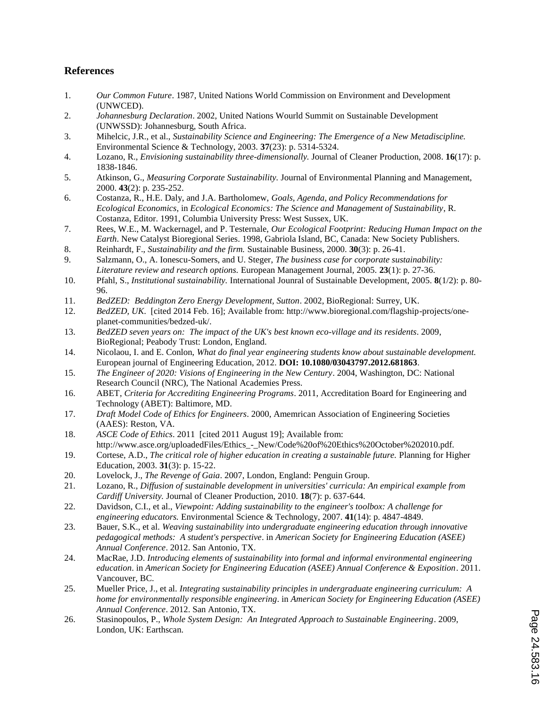#### **References**

- 1. *Our Common Future*. 1987, United Nations World Commission on Environment and Development (UNWCED).
- 2. *Johannesburg Declaration*. 2002, United Nations Wourld Summit on Sustainable Development (UNWSSD): Johannesburg, South Africa.
- 3. Mihelcic, J.R., et al., *Sustainability Science and Engineering: The Emergence of a New Metadiscipline.* Environmental Science & Technology, 2003. **37**(23): p. 5314-5324.
- 4. Lozano, R., *Envisioning sustainability three-dimensionally.* Journal of Cleaner Production, 2008. **16**(17): p. 1838-1846.
- 5. Atkinson, G., *Measuring Corporate Sustainability.* Journal of Environmental Planning and Management, 2000. **43**(2): p. 235-252.
- 6. Costanza, R., H.E. Daly, and J.A. Bartholomew, *Goals, Agenda, and Policy Recommendations for Ecological Economics*, in *Ecological Economics: The Science and Management of Sustainability*, R. Costanza, Editor. 1991, Columbia University Press: West Sussex, UK.
- 7. Rees, W.E., M. Wackernagel, and P. Testernale, *Our Ecological Footprint: Reducing Human Impact on the Earth*. New Catalyst Bioregional Series. 1998, Gabriola Island, BC, Canada: New Society Publishers.
- 8. Reinhardt, F., *Sustainability and the firm.* Sustainable Business, 2000. **30**(3): p. 26-41.
- 9. Salzmann, O., A. Ionescu-Somers, and U. Steger, *The business case for corporate sustainability: Literature review and research options.* European Management Journal, 2005. **23**(1): p. 27-36.
- 10. Pfahl, S., *Institutional sustainability.* International Jounral of Sustainable Development, 2005. **8**(1/2): p. 80- 96.
- 11. *BedZED: Beddington Zero Energy Development, Sutton*. 2002, BioRegional: Surrey, UK.
- 12. *BedZED, UK*. [cited 2014 Feb. 16]; Available from: http://www.bioregional.com/flagship-projects/oneplanet-communities/bedzed-uk/.
- 13. *BedZED seven years on: The impact of the UK's best known eco-village and its residents*. 2009, BioRegional; Peabody Trust: London, England.
- 14. Nicolaou, I. and E. Conlon, *What do final year engineering students know about sustainable development.* European journal of Engineering Education, 2012. **DOI: 10.1080/03043797.2012.681863**.
- 15. *The Engineer of 2020: Visions of Engineering in the New Century*. 2004, Washington, DC: National Research Council (NRC), The National Academies Press.
- 16. ABET, *Criteria for Accrediting Engineering Programs*. 2011, Accreditation Board for Engineering and Technology (ABET): Baltimore, MD.
- 17. *Draft Model Code of Ethics for Engineers*. 2000, Amemrican Association of Engineering Societies (AAES): Reston, VA.
- 18. *ASCE Code of Ethics*. 2011 [cited 2011 August 19]; Available from: http://www.asce.org/uploadedFiles/Ethics\_-\_New/Code%20of%20Ethics%20October%202010.pdf.
- 19. Cortese, A.D., *The critical role of higher education in creating a sustainable future.* Planning for Higher Education, 2003. **31**(3): p. 15-22.
- 20. Lovelock, J., *The Revenge of Gaia*. 2007, London, England: Penguin Group.
- 21. Lozano, R., *Diffusion of sustainable development in universities' curricula: An empirical example from Cardiff University.* Journal of Cleaner Production, 2010. **18**(7): p. 637-644.
- 22. Davidson, C.I., et al., *Viewpoint: Adding sustainability to the engineer's toolbox: A challenge for engineering educators.* Environmental Science & Technology, 2007. **41**(14): p. 4847-4849.
- 23. Bauer, S.K., et al. *Weaving sustainability into undergraduate engineering education through innovative pedagogical methods: A student's perspective*. in *American Society for Engineering Education (ASEE) Annual Conference*. 2012. San Antonio, TX.
- 24. MacRae, J.D. *Introducing elements of sustainability into formal and informal environmental engineering education*. in *American Society for Engineering Education (ASEE) Annual Conference & Exposition*. 2011. Vancouver, BC.
- 25. Mueller Price, J., et al. *Integrating sustainability principles in undergraduate engineering curriculum: A home for environmentally responsible engineering*. in *American Society for Engineering Education (ASEE) Annual Conference*. 2012. San Antonio, TX.
- 26. Stasinopoulos, P., *Whole System Design: An Integrated Approach to Sustainable Engineering*. 2009, London, UK: Earthscan.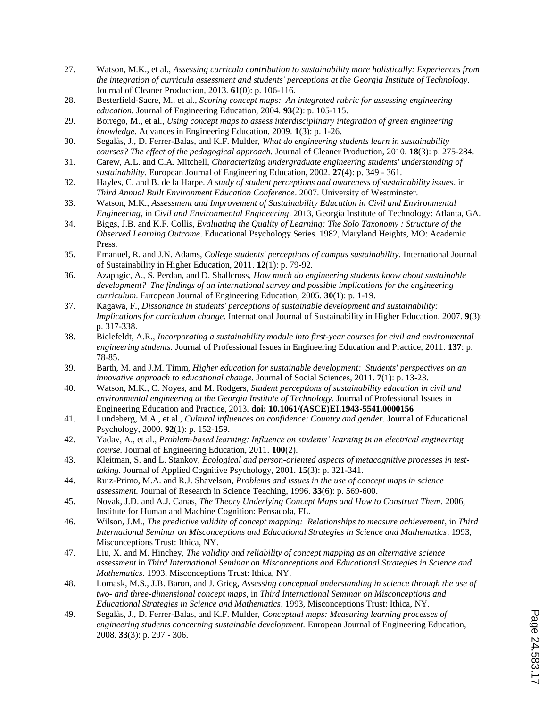- 27. Watson, M.K., et al., *Assessing curricula contribution to sustainability more holistically: Experiences from the integration of curricula assessment and students' perceptions at the Georgia Institute of Technology.* Journal of Cleaner Production, 2013. **61**(0): p. 106-116.
- 28. Besterfield-Sacre, M., et al., *Scoring concept maps: An integrated rubric for assessing engineering education.* Journal of Engineering Education, 2004. **93**(2): p. 105-115.
- 29. Borrego, M., et al., *Using concept maps to assess interdisciplinary integration of green engineering knowledge.* Advances in Engineering Education, 2009. **1**(3): p. 1-26.
- 30. Segalàs, J., D. Ferrer-Balas, and K.F. Mulder, *What do engineering students learn in sustainability courses? The effect of the pedagogical approach.* Journal of Cleaner Production, 2010. **18**(3): p. 275-284.
- 31. Carew, A.L. and C.A. Mitchell, *Characterizing undergraduate engineering students' understanding of sustainability.* European Journal of Engineering Education, 2002. **27**(4): p. 349 - 361.
- 32. Hayles, C. and B. de la Harpe. *A study of student perceptions and awareness of sustainability issues*. in *Third Annual Built Environment Education Conference*. 2007. University of Westminster.
- 33. Watson, M.K., *Assessment and Improvement of Sustainability Education in Civil and Environmental Engineering*, in *Civil and Environmental Engineering*. 2013, Georgia Institute of Technology: Atlanta, GA.
- 34. Biggs, J.B. and K.F. Collis, *Evaluating the Quality of Learning: The Solo Taxonomy : Structure of the Observed Learning Outcome*. Educational Psychology Series. 1982, Maryland Heights, MO: Academic Press.
- 35. Emanuel, R. and J.N. Adams, *College students' perceptions of campus sustainability.* International Journal of Sustainability in Higher Education, 2011. **12**(1): p. 79-92.
- 36. Azapagic, A., S. Perdan, and D. Shallcross, *How much do engineering students know about sustainable development? The findings of an international survey and possible implications for the engineering curriculum.* European Journal of Engineering Education, 2005. **30**(1): p. 1-19.
- 37. Kagawa, F., *Dissonance in students' perceptions of sustainable development and sustainability: Implications for curriculum change.* International Journal of Sustainability in Higher Education, 2007. **9**(3): p. 317-338.
- 38. Bielefeldt, A.R., *Incorporating a sustainability module into first-year courses for civil and environmental engineering students.* Journal of Professional Issues in Engineering Education and Practice, 2011. **137**: p. 78-85.
- 39. Barth, M. and J.M. Timm, *Higher education for sustainable development: Students' perspectives on an innovative approach to educational change.* Journal of Social Sciences, 2011. **7**(1): p. 13-23.
- 40. Watson, M.K., C. Noyes, and M. Rodgers, *Student perceptions of sustainability education in civil and environmental engineering at the Georgia Institute of Technology.* Journal of Professional Issues in Engineering Education and Practice, 2013. **doi: 10.1061/(ASCE)EI.1943-5541.0000156**
- 41. Lundeberg, M.A., et al., *Cultural influences on confidence: Country and gender.* Journal of Educational Psychology, 2000. **92**(1): p. 152-159.
- 42. Yadav, A., et al., *Problem-based learning: Influence on students' learning in an electrical engineering course.* Journal of Engineering Education, 2011. **100**(2).
- 43. Kleitman, S. and L. Stankov, *Ecological and person-oriented aspects of metacognitive processes in testtaking.* Journal of Applied Cognitive Psychology, 2001. **15**(3): p. 321-341.
- 44. Ruiz-Primo, M.A. and R.J. Shavelson, *Problems and issues in the use of concept maps in science assessment.* Journal of Research in Science Teaching, 1996. **33**(6): p. 569-600.
- 45. Novak, J.D. and A.J. Canas, *The Theory Underlying Concept Maps and How to Construct Them*. 2006, Institute for Human and Machine Cognition: Pensacola, FL.
- 46. Wilson, J.M., *The predictive validity of concept mapping: Relationships to measure achievement*, in *Third International Seminar on Misconceptions and Educational Strategies in Science and Mathematics*. 1993, Misconceptions Trust: Ithica, NY.
- 47. Liu, X. and M. Hinchey, *The validity and reliability of concept mapping as an alternative science assessment* in *Third International Seminar on Misconceptions and Educational Strategies in Science and Mathematics*. 1993, Misconceptions Trust: Ithica, NY.
- 48. Lomask, M.S., J.B. Baron, and J. Grieg, *Assessing conceptual understanding in science through the use of two- and three-dimensional concept maps*, in *Third International Seminar on Misconceptions and Educational Strategies in Science and Mathematics*. 1993, Misconceptions Trust: Ithica, NY.
- 49. Segalàs, J., D. Ferrer-Balas, and K.F. Mulder, *Conceptual maps: Measuring learning processes of engineering students concerning sustainable development.* European Journal of Engineering Education, 2008. **33**(3): p. 297 - 306.